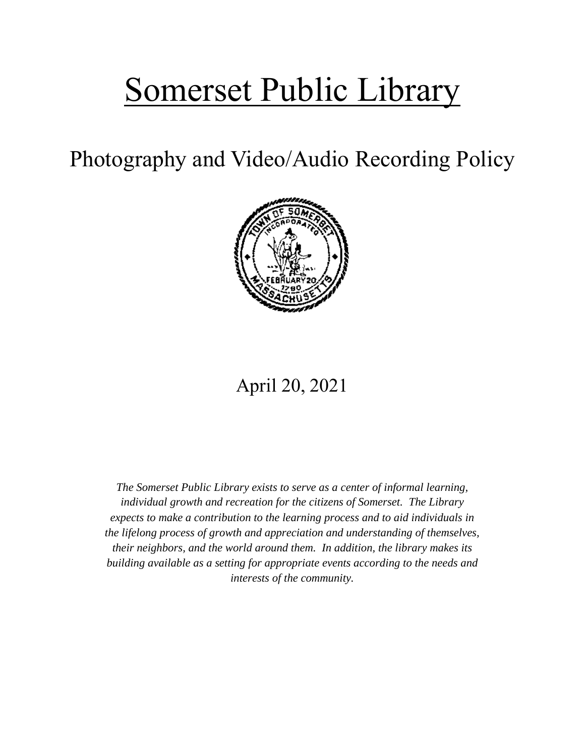# Somerset Public Library

Photography and Video/Audio Recording Policy



# April 20, 2021

*The Somerset Public Library exists to serve as a center of informal learning, individual growth and recreation for the citizens of Somerset. The Library expects to make a contribution to the learning process and to aid individuals in the lifelong process of growth and appreciation and understanding of themselves, their neighbors, and the world around them. In addition, the library makes its building available as a setting for appropriate events according to the needs and interests of the community.*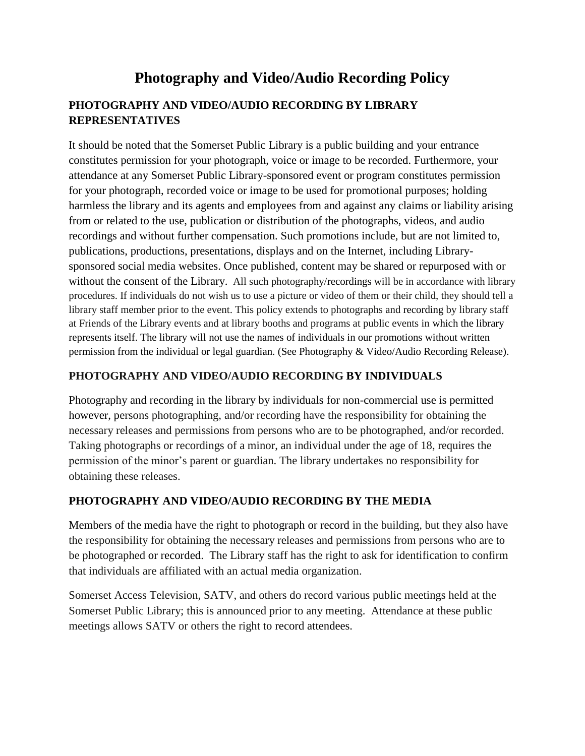## **Photography and Video/Audio Recording Policy**

#### **PHOTOGRAPHY AND VIDEO/AUDIO RECORDING BY LIBRARY REPRESENTATIVES**

It should be noted that the Somerset Public Library is a public building and your entrance constitutes permission for your photograph, voice or image to be recorded. Furthermore, your attendance at any Somerset Public Library-sponsored event or program constitutes permission for your photograph, recorded voice or image to be used for promotional purposes; holding harmless the library and its agents and employees from and against any claims or liability arising from or related to the use, publication or distribution of the photographs, videos, and audio recordings and without further compensation. Such promotions include, but are not limited to, publications, productions, presentations, displays and on the Internet, including Librarysponsored social media websites. Once published, content may be shared or repurposed with or without the consent of the Library. All such photography/recordings will be in accordance with library procedures. If individuals do not wish us to use a picture or video of them or their child, they should tell a library staff member prior to the event. This policy extends to photographs and recording by library staff at Friends of the Library events and at library booths and programs at public events in which the library represents itself. The library will not use the names of individuals in our promotions without written permission from the individual or legal guardian. (See Photography & Video/Audio Recording Release).

#### **PHOTOGRAPHY AND VIDEO/AUDIO RECORDING BY INDIVIDUALS**

Photography and recording in the library by individuals for non-commercial use is permitted however, persons photographing, and/or recording have the responsibility for obtaining the necessary releases and permissions from persons who are to be photographed, and/or recorded. Taking photographs or recordings of a minor, an individual under the age of 18, requires the permission of the minor's parent or guardian. The library undertakes no responsibility for obtaining these releases.

#### **PHOTOGRAPHY AND VIDEO/AUDIO RECORDING BY THE MEDIA**

Members of the media have the right to photograph or record in the building, but they also have the responsibility for obtaining the necessary releases and permissions from persons who are to be photographed or recorded. The Library staff has the right to ask for identification to confirm that individuals are affiliated with an actual media organization.

Somerset Access Television, SATV, and others do record various public meetings held at the Somerset Public Library; this is announced prior to any meeting. Attendance at these public meetings allows SATV or others the right to record attendees.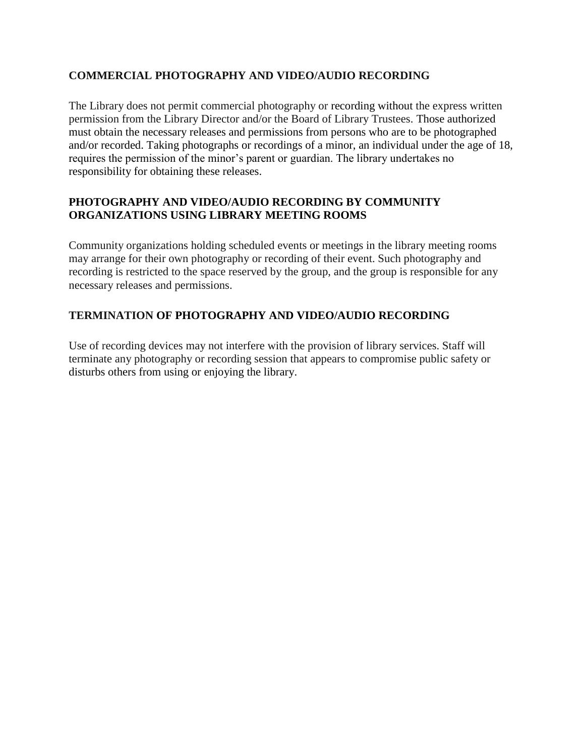#### **COMMERCIAL PHOTOGRAPHY AND VIDEO/AUDIO RECORDING**

The Library does not permit commercial photography or recording without the express written permission from the Library Director and/or the Board of Library Trustees. Those authorized must obtain the necessary releases and permissions from persons who are to be photographed and/or recorded. Taking photographs or recordings of a minor, an individual under the age of 18, requires the permission of the minor's parent or guardian. The library undertakes no responsibility for obtaining these releases.

#### **PHOTOGRAPHY AND VIDEO/AUDIO RECORDING BY COMMUNITY ORGANIZATIONS USING LIBRARY MEETING ROOMS**

Community organizations holding scheduled events or meetings in the library meeting rooms may arrange for their own photography or recording of their event. Such photography and recording is restricted to the space reserved by the group, and the group is responsible for any necessary releases and permissions.

#### **TERMINATION OF PHOTOGRAPHY AND VIDEO/AUDIO RECORDING**

Use of recording devices may not interfere with the provision of library services. Staff will terminate any photography or recording session that appears to compromise public safety or disturbs others from using or enjoying the library.